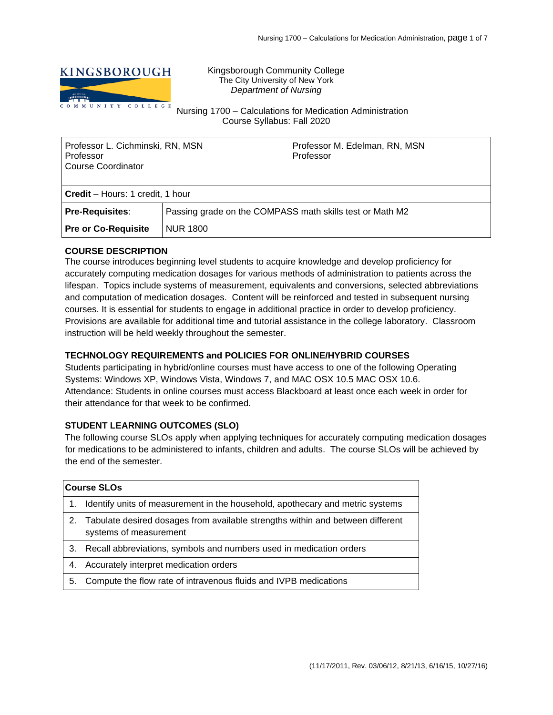

Kingsborough Community College The City University of New York *Department of Nursing*

Nursing 1700 – Calculations for Medication Administration Course Syllabus: Fall 2020

| Professor L. Cichminski, RN, MSN<br>Professor<br>Course Coordinator |                                                          | Professor M. Edelman, RN, MSN<br>Professor |  |  |  |
|---------------------------------------------------------------------|----------------------------------------------------------|--------------------------------------------|--|--|--|
| <b>Credit</b> – Hours: 1 credit, 1 hour                             |                                                          |                                            |  |  |  |
| <b>Pre-Requisites:</b>                                              | Passing grade on the COMPASS math skills test or Math M2 |                                            |  |  |  |
| <b>Pre or Co-Requisite</b>                                          | NUR 1800                                                 |                                            |  |  |  |

## **COURSE DESCRIPTION**

The course introduces beginning level students to acquire knowledge and develop proficiency for accurately computing medication dosages for various methods of administration to patients across the lifespan. Topics include systems of measurement, equivalents and conversions, selected abbreviations and computation of medication dosages. Content will be reinforced and tested in subsequent nursing courses. It is essential for students to engage in additional practice in order to develop proficiency. Provisions are available for additional time and tutorial assistance in the college laboratory. Classroom instruction will be held weekly throughout the semester.

## **TECHNOLOGY REQUIREMENTS and POLICIES FOR ONLINE/HYBRID COURSES**

Students participating in hybrid/online courses must have access to one of the following Operating Systems: Windows XP, Windows Vista, Windows 7, and MAC OSX 10.5 MAC OSX 10.6. Attendance: Students in online courses must access Blackboard at least once each week in order for their attendance for that week to be confirmed.

# **STUDENT LEARNING OUTCOMES (SLO)**

The following course SLOs apply when applying techniques for accurately computing medication dosages for medications to be administered to infants, children and adults. The course SLOs will be achieved by the end of the semester.

| <b>Course SLOs</b> |                                                                                                             |  |  |  |
|--------------------|-------------------------------------------------------------------------------------------------------------|--|--|--|
| $1_{-}$            | Identify units of measurement in the household, apothecary and metric systems                               |  |  |  |
|                    | 2. Tabulate desired dosages from available strengths within and between different<br>systems of measurement |  |  |  |
| 3.                 | Recall abbreviations, symbols and numbers used in medication orders                                         |  |  |  |
| 4.                 | Accurately interpret medication orders                                                                      |  |  |  |
| 5.                 | Compute the flow rate of intravenous fluids and IVPB medications                                            |  |  |  |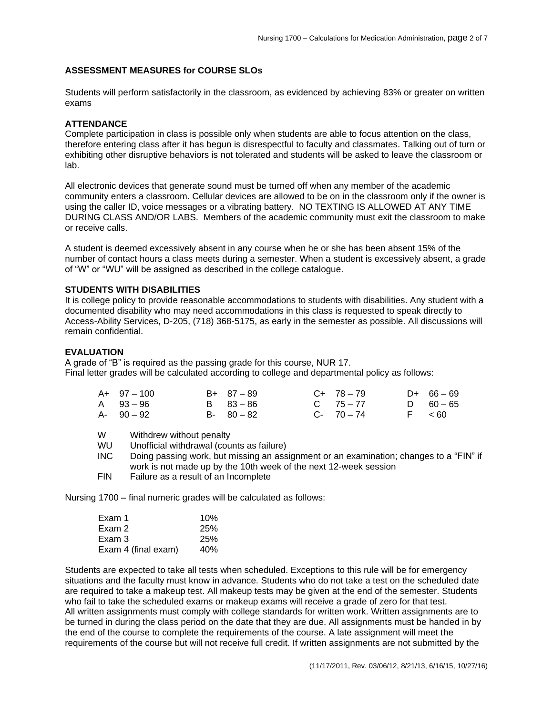## **ASSESSMENT MEASURES for COURSE SLOs**

Students will perform satisfactorily in the classroom, as evidenced by achieving 83% or greater on written exams

## **ATTENDANCE**

Complete participation in class is possible only when students are able to focus attention on the class, therefore entering class after it has begun is disrespectful to faculty and classmates. Talking out of turn or exhibiting other disruptive behaviors is not tolerated and students will be asked to leave the classroom or lab.

All electronic devices that generate sound must be turned off when any member of the academic community enters a classroom. Cellular devices are allowed to be on in the classroom only if the owner is using the caller ID, voice messages or a vibrating battery. NO TEXTING IS ALLOWED AT ANY TIME DURING CLASS AND/OR LABS. Members of the academic community must exit the classroom to make or receive calls.

A student is deemed excessively absent in any course when he or she has been absent 15% of the number of contact hours a class meets during a semester. When a student is excessively absent, a grade of "W" or "WU" will be assigned as described in the college catalogue.

### **STUDENTS WITH DISABILITIES**

It is college policy to provide reasonable accommodations to students with disabilities. Any student with a documented disability who may need accommodations in this class is requested to speak directly to Access-Ability Services, D-205, (718) 368-5175, as early in the semester as possible. All discussions will remain confidential.

## **EVALUATION**

A grade of "B" is required as the passing grade for this course, NUR 17. Final letter grades will be calculated according to college and departmental policy as follows:

| $A+ 97-100$   | $B+ 87-89$    | $C+ 78-79$    | $D+ 66-69$  |
|---------------|---------------|---------------|-------------|
| A 93-96       | B 83-86       | $C = 75 - 77$ | D $60 - 65$ |
| $A - 90 - 92$ | $B - 80 - 82$ | $C - 70 - 74$ | F < 60      |

W Withdrew without penalty

WU Unofficial withdrawal (counts as failure)

INC Doing passing work, but missing an assignment or an examination; changes to a "FIN" if work is not made up by the 10th week of the next 12-week session

FIN Failure as a result of an Incomplete

Nursing 1700 – final numeric grades will be calculated as follows:

| Exam 1              | 10%        |
|---------------------|------------|
| Exam 2              | 25%        |
| Exam 3              | <b>25%</b> |
| Exam 4 (final exam) | 40%        |

Students are expected to take all tests when scheduled. Exceptions to this rule will be for emergency situations and the faculty must know in advance. Students who do not take a test on the scheduled date are required to take a makeup test. All makeup tests may be given at the end of the semester. Students who fail to take the scheduled exams or makeup exams will receive a grade of zero for that test. All written assignments must comply with college standards for written work. Written assignments are to be turned in during the class period on the date that they are due. All assignments must be handed in by the end of the course to complete the requirements of the course. A late assignment will meet the requirements of the course but will not receive full credit. If written assignments are not submitted by the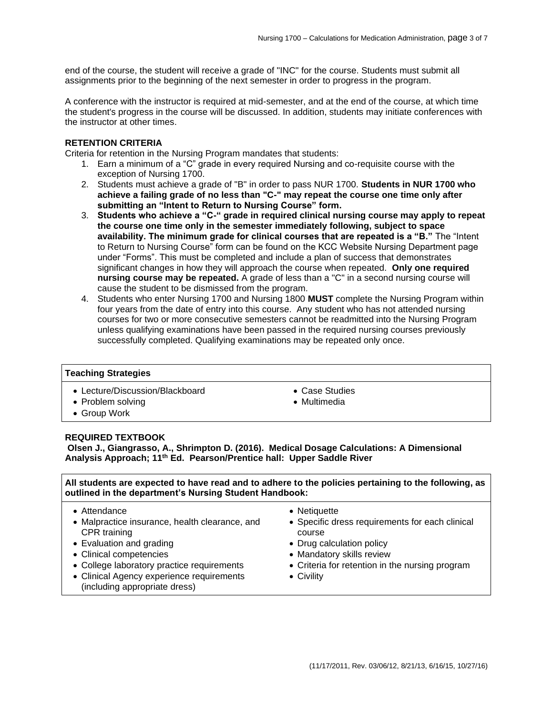end of the course, the student will receive a grade of "INC" for the course. Students must submit all assignments prior to the beginning of the next semester in order to progress in the program.

A conference with the instructor is required at mid-semester, and at the end of the course, at which time the student's progress in the course will be discussed. In addition, students may initiate conferences with the instructor at other times.

### **RETENTION CRITERIA**

Criteria for retention in the Nursing Program mandates that students:

- 1. Earn a minimum of a "C" grade in every required Nursing and co-requisite course with the exception of Nursing 1700.
- 2. Students must achieve a grade of "B" in order to pass NUR 1700. **Students in NUR 1700 who achieve a failing grade of no less than "C-" may repeat the course one time only after submitting an "Intent to Return to Nursing Course" form.**
- 3. **Students who achieve a "C-" grade in required clinical nursing course may apply to repeat the course one time only in the semester immediately following, subject to space availability. The minimum grade for clinical courses that are repeated is a "B."** The "Intent to Return to Nursing Course" form can be found on the KCC Website Nursing Department page under "Forms". This must be completed and include a plan of success that demonstrates significant changes in how they will approach the course when repeated. **Only one required nursing course may be repeated.** A grade of less than a "C" in a second nursing course will cause the student to be dismissed from the program.
- 4. Students who enter Nursing 1700 and Nursing 1800 **MUST** complete the Nursing Program within four years from the date of entry into this course. Any student who has not attended nursing courses for two or more consecutive semesters cannot be readmitted into the Nursing Program unless qualifying examinations have been passed in the required nursing courses previously successfully completed. Qualifying examinations may be repeated only once.

### **Teaching Strategies**

- Lecture/Discussion/Blackboard
- Problem solving
- Group Work
- Case Studies
- Multimedia

### **REQUIRED TEXTBOOK**

**Olsen J., Giangrasso, A., Shrimpton D. (2016). Medical Dosage Calculations: A Dimensional Analysis Approach; 11th Ed. Pearson/Prentice hall: Upper Saddle River**

**All students are expected to have read and to adhere to the policies pertaining to the following, as outlined in the department's Nursing Student Handbook:**

- Attendance
- Malpractice insurance, health clearance, and CPR training
- Evaluation and grading
- Clinical competencies
- College laboratory practice requirements
- Clinical Agency experience requirements (including appropriate dress)
- Netiquette
- Specific dress requirements for each clinical course
- Drug calculation policy
- Mandatory skills review
- Criteria for retention in the nursing program
- Civility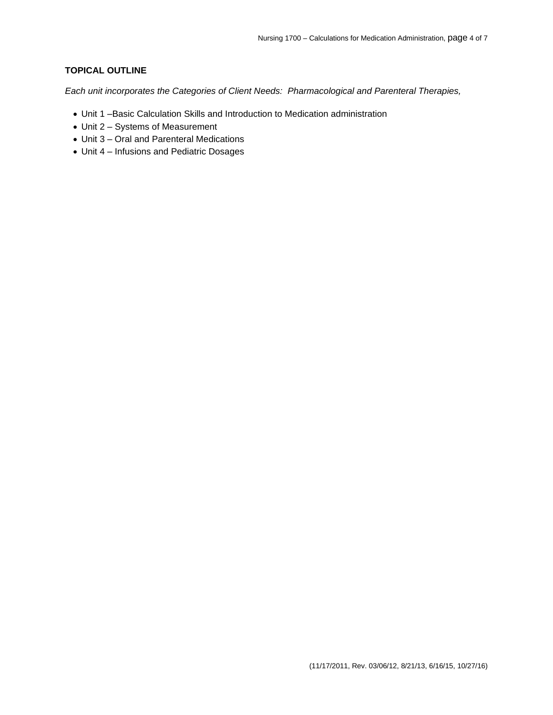# **TOPICAL OUTLINE**

*Each unit incorporates the Categories of Client Needs: Pharmacological and Parenteral Therapies,* 

- Unit 1 –Basic Calculation Skills and Introduction to Medication administration
- Unit 2 Systems of Measurement
- Unit 3 Oral and Parenteral Medications
- Unit 4 Infusions and Pediatric Dosages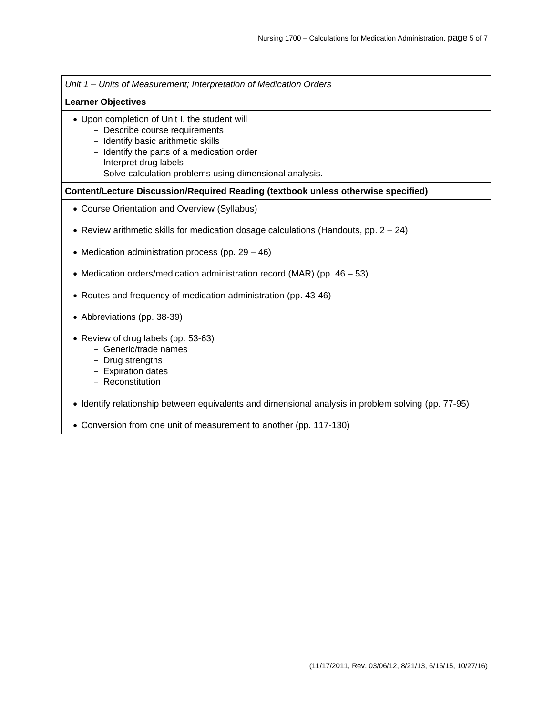*Unit 1 – Units of Measurement; Interpretation of Medication Orders*

#### **Learner Objectives**

- Upon completion of Unit I, the student will
	- Describe course requirements
	- Identify basic arithmetic skills
	- Identify the parts of a medication order
	- Interpret drug labels
	- Solve calculation problems using dimensional analysis.

#### **Content/Lecture Discussion/Required Reading (textbook unless otherwise specified)**

- Course Orientation and Overview (Syllabus)
- Review arithmetic skills for medication dosage calculations (Handouts, pp.  $2 24$ )
- Medication administration process (pp. 29 46)
- Medication orders/medication administration record (MAR) (pp. 46 53)
- Routes and frequency of medication administration (pp. 43-46)
- Abbreviations (pp. 38-39)
- Review of drug labels (pp. 53-63)
	- Generic/trade names
	- Drug strengths
	- Expiration dates
	- Reconstitution
- Identify relationship between equivalents and dimensional analysis in problem solving (pp. 77-95)
- Conversion from one unit of measurement to another (pp. 117-130)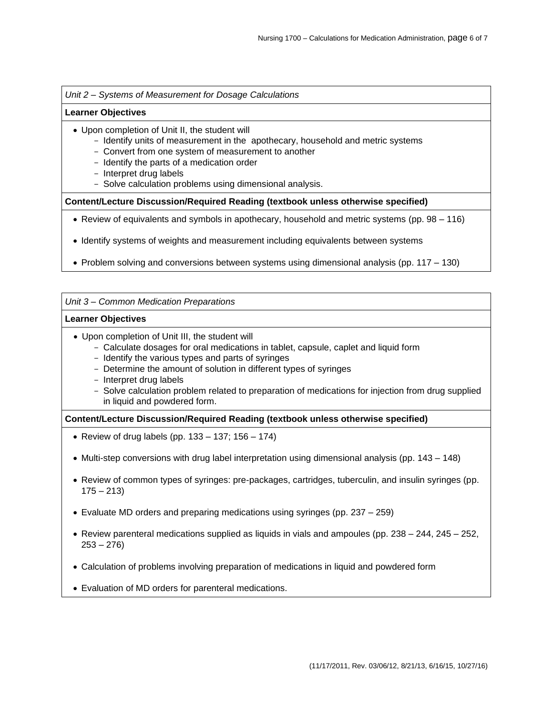*Unit 2 – Systems of Measurement for Dosage Calculations*

#### **Learner Objectives**

- Upon completion of Unit II, the student will
	- Identify units of measurement in the apothecary, household and metric systems
	- Convert from one system of measurement to another
	- Identify the parts of a medication order
	- Interpret drug labels
	- Solve calculation problems using dimensional analysis.

**Content/Lecture Discussion/Required Reading (textbook unless otherwise specified)**

- Review of equivalents and symbols in apothecary, household and metric systems (pp. 98 116)
- Identify systems of weights and measurement including equivalents between systems
- Problem solving and conversions between systems using dimensional analysis (pp. 117 130)

#### *Unit 3 – Common Medication Preparations*

#### **Learner Objectives**

- Upon completion of Unit III, the student will
	- Calculate dosages for oral medications in tablet, capsule, caplet and liquid form
	- Identify the various types and parts of syringes
	- Determine the amount of solution in different types of syringes
	- Interpret drug labels
	- Solve calculation problem related to preparation of medications for injection from drug supplied in liquid and powdered form.

### **Content/Lecture Discussion/Required Reading (textbook unless otherwise specified)**

- Review of drug labels (pp.  $133 137$ ;  $156 174$ )
- Multi-step conversions with drug label interpretation using dimensional analysis (pp. 143 148)
- Review of common types of syringes: pre-packages, cartridges, tuberculin, and insulin syringes (pp.  $175 - 213$
- Evaluate MD orders and preparing medications using syringes (pp. 237 259)
- Review parenteral medications supplied as liquids in vials and ampoules (pp. 238 244, 245 252,  $253 - 276$
- Calculation of problems involving preparation of medications in liquid and powdered form
- Evaluation of MD orders for parenteral medications.